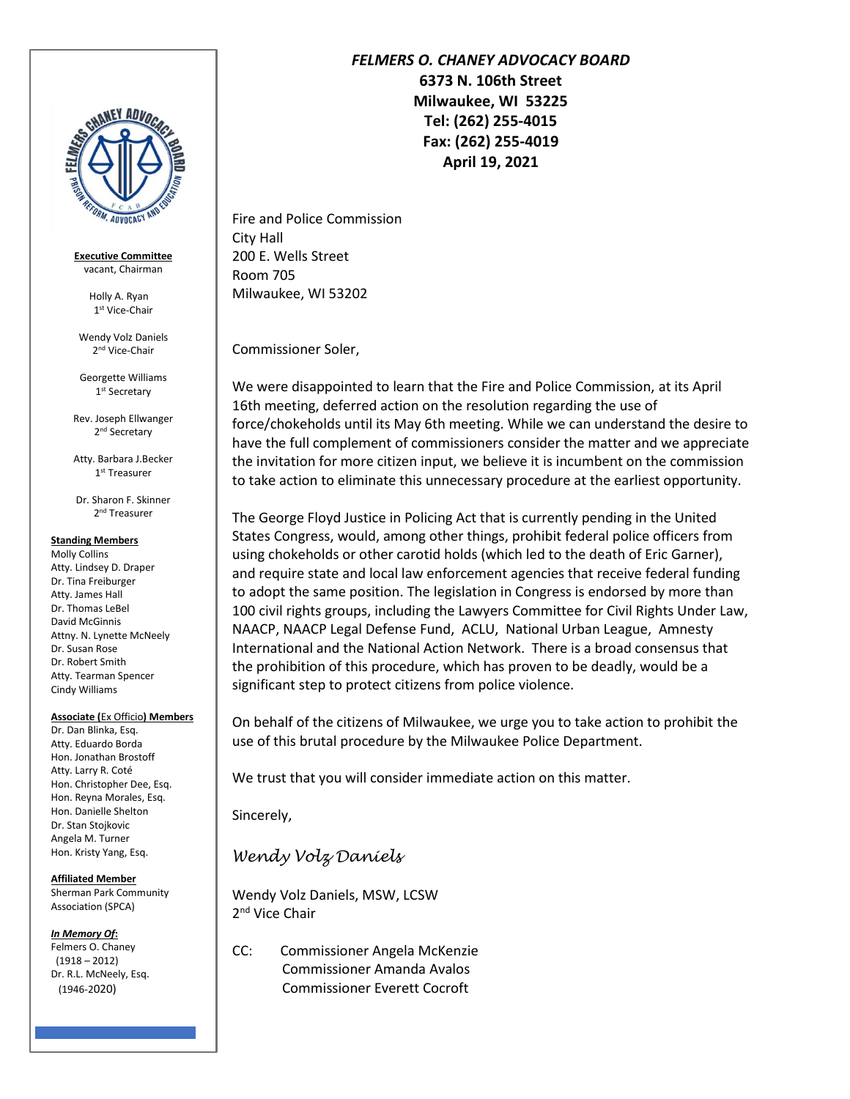

**Executive Committee** vacant, Chairman

> Holly A. Ryan 1 st Vice-Chair

Wendy Volz Daniels 2<sup>nd</sup> Vice-Chair

Georgette Williams 1 st Secretary

Rev. Joseph Ellwanger 2 nd Secretary

Atty. Barbara J.Becker 1 st Treasurer

Dr. Sharon F. Skinner 2<sup>nd</sup> Treasurer

## **Standing Members**

Molly Collins Atty. Lindsey D. Draper Dr. Tina Freiburger Atty. James Hall Dr. Thomas LeBel David McGinnis Attny. N. Lynette McNeely Dr. Susan Rose Dr. Robert Smith Atty. Tearman Spencer Cindy Williams

## **Associate (**Ex Officio**) Members**

Dr. Dan Blinka, Esq. Atty. Eduardo Borda Hon. Jonathan Brostoff Atty. Larry R. Coté Hon. Christopher Dee, Esq. Hon. Reyna Morales, Esq. Hon. Danielle Shelton Dr. Stan Stojkovic Angela M. Turner Hon. Kristy Yang, Esq.

**Affiliated Member** Sherman Park Community Association (SPCA)

*In Memory Of***:**

Felmers O. Chaney (1918 – 2012) Dr. R.L. McNeely, Esq. (1946-2020)

## *FELMERS O. CHANEY ADVOCACY BOARD*

**6373 N. 106th Street Milwaukee, WI 53225 Tel: (262) 255-4015 Fax: (262) 255-4019 April 19, 2021**

Fire and Police Commission City Hall 200 E. Wells Street Room 705 Milwaukee, WI 53202

Commissioner Soler,

We were disappointed to learn that the Fire and Police Commission, at its April 16th meeting, deferred action on the resolution regarding the use of force/chokeholds until its May 6th meeting. While we can understand the desire to have the full complement of commissioners consider the matter and we appreciate the invitation for more citizen input, we believe it is incumbent on the commission to take action to eliminate this unnecessary procedure at the earliest opportunity.

The George Floyd Justice in Policing Act that is currently pending in the United States Congress, would, among other things, prohibit federal police officers from using chokeholds or other carotid holds (which led to the death of Eric Garner), and require state and local law enforcement agencies that receive federal funding to adopt the same position. The legislation in Congress is endorsed by more than 100 civil rights groups, including the Lawyers Committee for Civil Rights Under Law, NAACP, NAACP Legal Defense Fund, ACLU, National Urban League, Amnesty International and the National Action Network. There is a broad consensus that the prohibition of this procedure, which has proven to be deadly, would be a significant step to protect citizens from police violence.

On behalf of the citizens of Milwaukee, we urge you to take action to prohibit the use of this brutal procedure by the Milwaukee Police Department.

We trust that you will consider immediate action on this matter.

Sincerely,

*Wendy Volz Daniels*

Wendy Volz Daniels, MSW, LCSW 2<sup>nd</sup> Vice Chair

CC: Commissioner Angela McKenzie Commissioner Amanda Avalos Commissioner Everett Cocroft